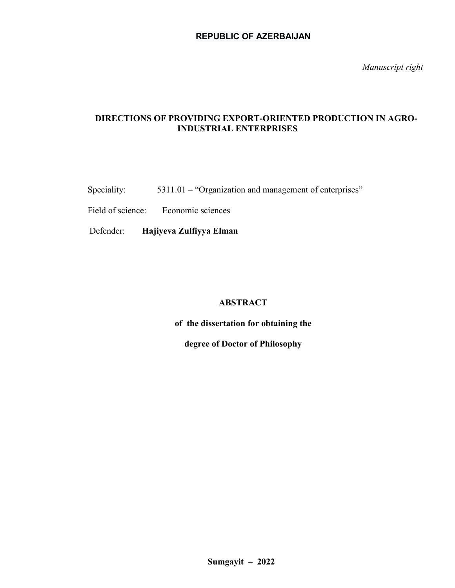*Manuscript right*

# **DIRECTIONS OF PROVIDING EXPORT-ORIENTED PRODUCTION IN AGRO-INDUSTRIAL ENTERPRISES**

Speciality: 5311.01 – "Organization and management of enterprises"

Field of science: Economic sciences

Defender: **Hajiyeva Zulfiyya Elman**

# **ABSTRACT**

**of the dissertation for obtaining the** 

**degree of Doctor of Philosophy**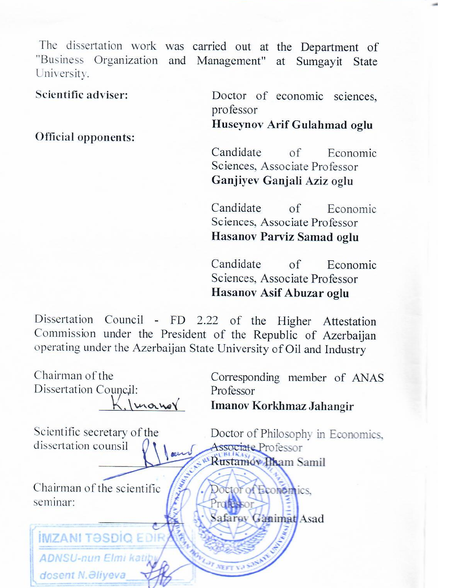The dissertation work was carried out at the Department of "Business Organization and Management" at Sumgayit State University.

Scientific adviser:

Official opponents:

**ADNSU-nun Elmi kati** 

dosent N. Əliyeva

Doctor of economic sciences, professor

Huseynov Arif Gulahmad oglu

Candidate  $\alpha$ f Economic Sciences, Associate Professor Ganjiyev Ganjali Aziz oglu

Candidate  $\alpha$ f Economic Sciences, Associate Professor Hasanov Parviz Samad oglu

Candidate of Econor<br>Sciences, Associate Professor  $\alpha$ f Economic Hasanov Asif Abuzar oglu

Dissertation Council - FD 2.22 of the Higher Attestation Commission under the President of the Republic of Azerbaijan operating under the Azerbaijan State University of Oil and Industry

Chairman of the Corresponding member of ANAS Dissertation Council: Professor  $\lambda$  Imanov Korkhmaz Jahangir  $\sim$  scientific title Scientific secretary of the Doctor of Philosophy in Economics. dissertation counsil Associate Professor Rustamov Iham Samil Chairman of the scientific Doctor of Economics, seminar: Pratessor Safarey Ganimat Asad **IMZANI TƏSDIQ ED**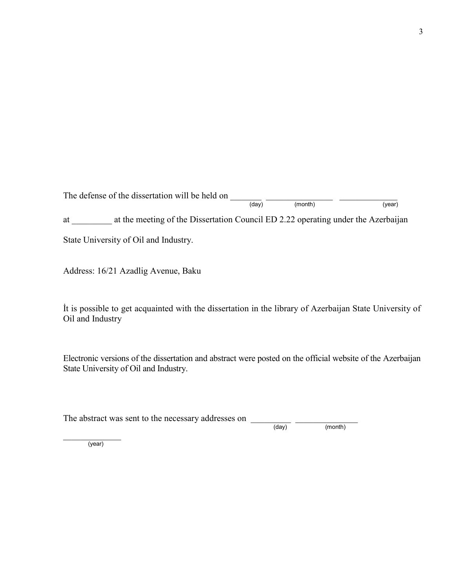The defense of the dissertation will be held on  $\frac{1}{(day)}$   $\frac{1}{(month)}$  $(month)$ 

at \_\_\_\_\_\_\_\_\_ at the meeting of the Dissertation Council ED 2.22 operating under the Azerbaijan

State University of Oil and Industry.

Address: 16/21 Azadlig Avenue, Baku

İt is possible to get acquainted with the dissertation in the library of Azerbaijan State University of Oil and Industry

Electronic versions of the dissertation and abstract were posted on the official website of the Azerbaijan State University of Oil and Industry.

| The abstract was sent to the necessary addresses on |       |         |
|-----------------------------------------------------|-------|---------|
|                                                     | (dav) | (month) |

 $\overline{\phantom{a}}$  , where  $\overline{\phantom{a}}$ (year)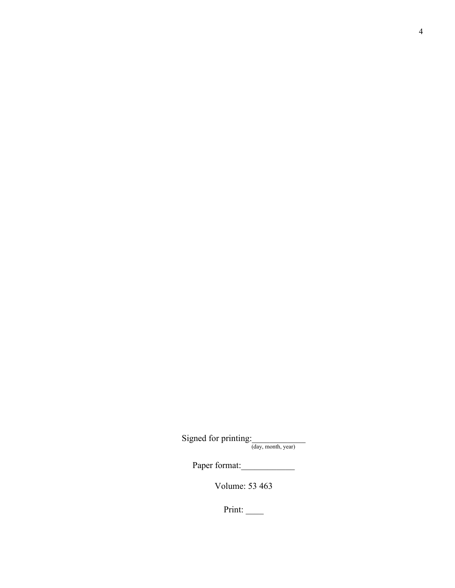Signed for printing:  $\frac{1}{(day, month, year)}$ 

Paper format:

Volume: 53 463

Print: \_\_\_\_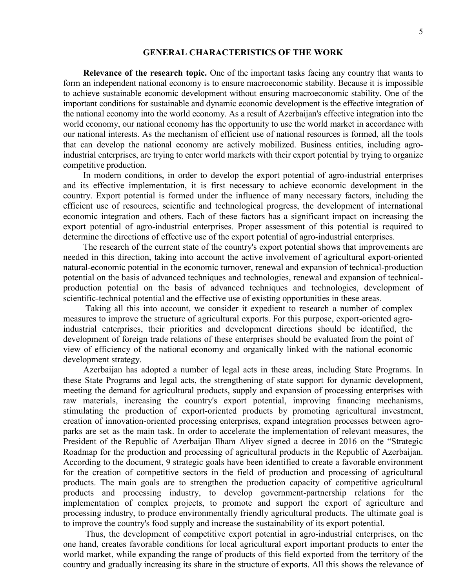#### **GENERAL CHARACTERISTICS OF THE WORK**

**Relevance of the research topic.** One of the important tasks facing any country that wants to form an independent national economy is to ensure macroeconomic stability. Because it is impossible to achieve sustainable economic development without ensuring macroeconomic stability. One of the important conditions for sustainable and dynamic economic development is the effective integration of the national economy into the world economy. As a result of Azerbaijan's effective integration into the world economy, our national economy has the opportunity to use the world market in accordance with our national interests. As the mechanism of efficient use of national resources is formed, all the tools that can develop the national economy are actively mobilized. Business entities, including agroindustrial enterprises, are trying to enter world markets with their export potential by trying to organize competitive production.

In modern conditions, in order to develop the export potential of agro-industrial enterprises and its effective implementation, it is first necessary to achieve economic development in the country. Export potential is formed under the influence of many necessary factors, including the efficient use of resources, scientific and technological progress, the development of international economic integration and others. Each of these factors has a significant impact on increasing the export potential of agro-industrial enterprises. Proper assessment of this potential is required to determine the directions of effective use of the export potential of agro-industrial enterprises.

The research of the current state of the country's export potential shows that improvements are needed in this direction, taking into account the active involvement of agricultural export-oriented natural-economic potential in the economic turnover, renewal and expansion of technical-production potential on the basis of advanced techniques and technologies, renewal and expansion of technicalproduction potential on the basis of advanced techniques and technologies, development of scientific-technical potential and the effective use of existing opportunities in these areas.

Taking all this into account, we consider it expedient to research a number of complex measures to improve the structure of agricultural exports. For this purpose, export-oriented agroindustrial enterprises, their priorities and development directions should be identified, the development of foreign trade relations of these enterprises should be evaluated from the point of view of efficiency of the national economy and organically linked with the national economic development strategy.

Azerbaijan has adopted a number of legal acts in these areas, including State Programs. In these State Programs and legal acts, the strengthening of state support for dynamic development, meeting the demand for agricultural products, supply and expansion of processing enterprises with raw materials, increasing the country's export potential, improving financing mechanisms, stimulating the production of export-oriented products by promoting agricultural investment, creation of innovation-oriented processing enterprises, expand integration processes between agroparks are set as the main task. In order to accelerate the implementation of relevant measures, the President of the Republic of Azerbaijan Ilham Aliyev signed a decree in 2016 on the "Strategic Roadmap for the production and processing of agricultural products in the Republic of Azerbaijan. According to the document, 9 strategic goals have been identified to create a favorable environment for the creation of competitive sectors in the field of production and processing of agricultural products. The main goals are to strengthen the production capacity of competitive agricultural products and processing industry, to develop government-partnership relations for the implementation of complex projects, to promote and support the export of agriculture and processing industry, to produce environmentally friendly agricultural products. The ultimate goal is to improve the country's food supply and increase the sustainability of its export potential.

Thus, the development of competitive export potential in agro-industrial enterprises, on the one hand, creates favorable conditions for local agricultural export important products to enter the world market, while expanding the range of products of this field exported from the territory of the country and gradually increasing its share in the structure of exports. All this shows the relevance of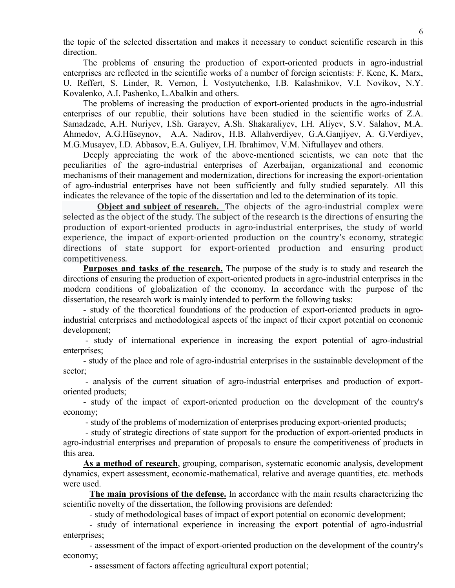the topic of the selected dissertation and makes it necessary to conduct scientific research in this direction.

The problems of ensuring the production of export-oriented products in agro-industrial enterprises are reflected in the scientific works of a number of foreign scientists: F. Kene, K. Marx, U. Reffert, S. Linder, R. Vernon, İ. Vostyutchenko, I.B. Kalashnikov, V.I. Novikov, N.Y. Kovalenko, A.I. Pashenko, L.Abalkin and others.

The problems of increasing the production of export-oriented products in the agro-industrial enterprises of our republic, their solutions have been studied in the scientific works of Z.A. Samadzade, A.H. Nuriyev, I.Sh. Garayev, A.Sh. Shakaraliyev, I.H. Aliyev, S.V. Salahov, M.A. Ahmedov, A.G.Hüseynov, A.A. Nadirov, H.B. Allahverdiyev, G.A.Ganjiyev, A. G.Verdiyev, M.G.Musayev, I.D. Abbasov, E.A. Guliyev, I.H. Ibrahimov, V.M. Niftullayev and others.

Deeply appreciating the work of the above-mentioned scientists, we can note that the peculiarities of the agro-industrial enterprises of Azerbaijan, organizational and economic mechanisms of their management and modernization, directions for increasing the export-orientation of agro-industrial enterprises have not been sufficiently and fully studied separately. All this indicates the relevance of the topic of the dissertation and led to the determination of its topic.

**Object and subject of research.** The objects of the agro-industrial complex were selected as the object of the study. The subject of the research is the directions of ensuring the production of export-oriented products in agro-industrial enterprises, the study of world experience, the impact of export-oriented production on the country's economy, strategic directions of state support for export-oriented production and ensuring product competitiveness.

**Purposes and tasks of the research.** The purpose of the study is to study and research the directions of ensuring the production of export-oriented products in agro-industrial enterprises in the modern conditions of globalization of the economy. In accordance with the purpose of the dissertation, the research work is mainly intended to perform the following tasks:

- study of the theoretical foundations of the production of export-oriented products in agroindustrial enterprises and methodological aspects of the impact of their export potential on economic development;

- study of international experience in increasing the export potential of agro-industrial enterprises:

- study of the place and role of agro-industrial enterprises in the sustainable development of the sector;

- analysis of the current situation of agro-industrial enterprises and production of exportoriented products;

- study of the impact of export-oriented production on the development of the country's economy;

- study of the problems of modernization of enterprises producing export-oriented products;

- study of strategic directions of state support for the production of export-oriented products in agro-industrial enterprises and preparation of proposals to ensure the competitiveness of products in this area.

**As a method of research**, grouping, comparison, systematic economic analysis, development dynamics, expert assessment, economic-mathematical, relative and average quantities, etc. methods were used.

**The main provisions of the defense.** In accordance with the main results characterizing the scientific novelty of the dissertation, the following provisions are defended:

- study of methodological bases of impact of export potential on economic development;

- study of international experience in increasing the export potential of agro-industrial enterprises;

- assessment of the impact of export-oriented production on the development of the country's economy;

- assessment of factors affecting agricultural export potential;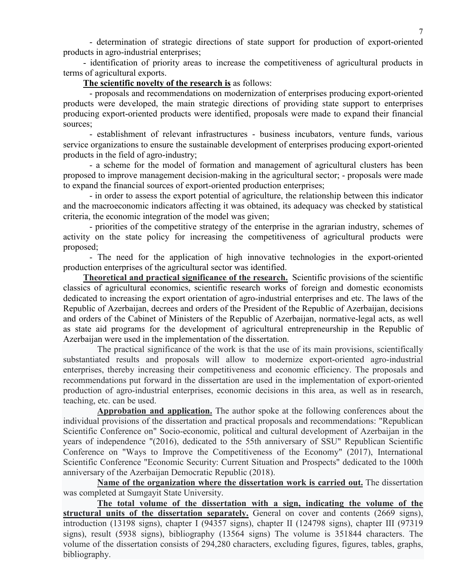- determination of strategic directions of state support for production of export-oriented products in agro-industrial enterprises;

- identification of priority areas to increase the competitiveness of agricultural products in terms of agricultural exports.

### **The scientific novelty of the research is** as follows:

- proposals and recommendations on modernization of enterprises producing export-oriented products were developed, the main strategic directions of providing state support to enterprises producing export-oriented products were identified, proposals were made to expand their financial sources;

- establishment of relevant infrastructures - business incubators, venture funds, various service organizations to ensure the sustainable development of enterprises producing export-oriented products in the field of agro-industry;

- a scheme for the model of formation and management of agricultural clusters has been proposed to improve management decision-making in the agricultural sector; - proposals were made to expand the financial sources of export-oriented production enterprises;

- in order to assess the export potential of agriculture, the relationship between this indicator and the macroeconomic indicators affecting it was obtained, its adequacy was checked by statistical criteria, the economic integration of the model was given;

- priorities of the competitive strategy of the enterprise in the agrarian industry, schemes of activity on the state policy for increasing the competitiveness of agricultural products were proposed;

- The need for the application of high innovative technologies in the export-oriented production enterprises of the agricultural sector was identified.

**Theoretical and practical significance of the research.** Scientific provisions of the scientific classics of agricultural economics, scientific research works of foreign and domestic economists dedicated to increasing the export orientation of agro-industrial enterprises and etc. The laws of the Republic of Azerbaijan, decrees and orders of the President of the Republic of Azerbaijan, decisions and orders of the Cabinet of Ministers of the Republic of Azerbaijan, normative-legal acts, as well as state aid programs for the development of agricultural entrepreneurship in the Republic of Azerbaijan were used in the implementation of the dissertation.

The practical significance of the work is that the use of its main provisions, scientifically substantiated results and proposals will allow to modernize export-oriented agro-industrial enterprises, thereby increasing their competitiveness and economic efficiency. The proposals and recommendations put forward in the dissertation are used in the implementation of export-oriented production of agro-industrial enterprises, economic decisions in this area, as well as in research, teaching, etc. can be used.

**Approbation and application.** The author spoke at the following conferences about the individual provisions of the dissertation and practical proposals and recommendations: "Republican Scientific Conference on" Socio-economic, political and cultural development of Azerbaijan in the years of independence "(2016), dedicated to the 55th anniversary of SSU" Republican Scientific Conference on "Ways to Improve the Competitiveness of the Economy" (2017), International Scientific Conference "Economic Security: Current Situation and Prospects" dedicated to the 100th anniversary of the Azerbaijan Democratic Republic (2018).

**Name of the organization where the dissertation work is carried out.** The dissertation was completed at Sumgayit State University.

**The total volume of the dissertation with a sign, indicating the volume of the**  structural units of the dissertation separately. General on cover and contents (2669 signs), introduction (13198 signs), chapter I (94357 signs), chapter II (124798 signs), chapter III (97319 signs), result (5938 signs), bibliography (13564 signs) The volume is 351844 characters. The volume of the dissertation consists of 294,280 characters, excluding figures, figures, tables, graphs, bibliography.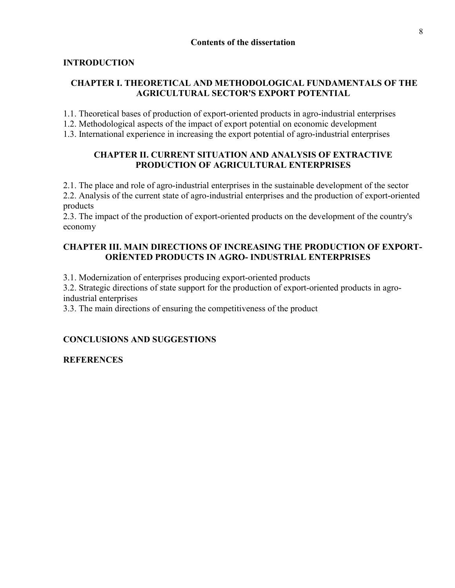# **INTRODUCTION**

# **CHAPTER I. THEORETICAL AND METHODOLOGICAL FUNDAMENTALS OF THE AGRICULTURAL SECTOR'S EXPORT POTENTIAL**

1.1. Theoretical bases of production of export-oriented products in agro-industrial enterprises

1.2. Methodological aspects of the impact of export potential on economic development

1.3. International experience in increasing the export potential of agro-industrial enterprises

# **CHAPTER II. CURRENT SITUATION AND ANALYSIS OF EXTRACTIVE PRODUCTION OF AGRICULTURAL ENTERPRISES**

2.1. The place and role of agro-industrial enterprises in the sustainable development of the sector 2.2. Analysis of the current state of agro-industrial enterprises and the production of export-oriented products

2.3. The impact of the production of export-oriented products on the development of the country's economy

# **CHAPTER III. MAIN DIRECTIONS OF INCREASING THE PRODUCTION OF EXPORT-ORİENTED PRODUCTS IN AGRO- INDUSTRIAL ENTERPRISES**

3.1. Modernization of enterprises producing export-oriented products

3.2. Strategic directions of state support for the production of export-oriented products in agroindustrial enterprises

3.3. The main directions of ensuring the competitiveness of the product

# **CONCLUSIONS AND SUGGESTIONS**

**REFERENCES**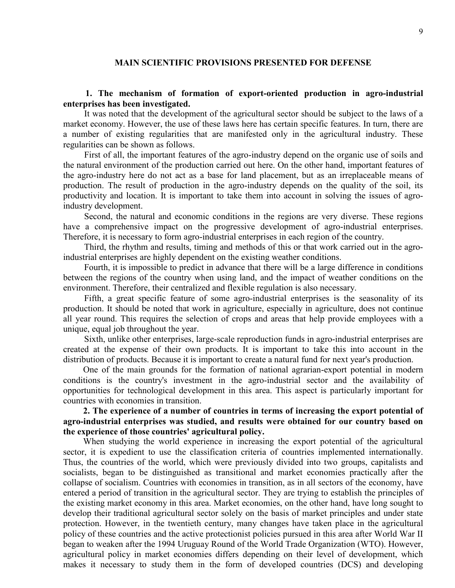### **MAIN SCIENTIFIC PROVISIONS PRESENTED FOR DEFENSE**

### **1. The mechanism of formation of export-oriented production in agro-industrial enterprises has been investigated.**

It was noted that the development of the agricultural sector should be subject to the laws of a market economy. However, the use of these laws here has certain specific features. In turn, there are a number of existing regularities that are manifested only in the agricultural industry. These regularities can be shown as follows.

First of all, the important features of the agro-industry depend on the organic use of soils and the natural environment of the production carried out here. On the other hand, important features of the agro-industry here do not act as a base for land placement, but as an irreplaceable means of production. The result of production in the agro-industry depends on the quality of the soil, its productivity and location. It is important to take them into account in solving the issues of agroindustry development.

Second, the natural and economic conditions in the regions are very diverse. These regions have a comprehensive impact on the progressive development of agro-industrial enterprises. Therefore, it is necessary to form agro-industrial enterprises in each region of the country.

Third, the rhythm and results, timing and methods of this or that work carried out in the agroindustrial enterprises are highly dependent on the existing weather conditions.

Fourth, it is impossible to predict in advance that there will be a large difference in conditions between the regions of the country when using land, and the impact of weather conditions on the environment. Therefore, their centralized and flexible regulation is also necessary.

Fifth, a great specific feature of some agro-industrial enterprises is the seasonality of its production. It should be noted that work in agriculture, especially in agriculture, does not continue all year round. This requires the selection of crops and areas that help provide employees with a unique, equal job throughout the year.

Sixth, unlike other enterprises, large-scale reproduction funds in agro-industrial enterprises are created at the expense of their own products. It is important to take this into account in the distribution of products. Because it is important to create a natural fund for next year's production.

One of the main grounds for the formation of national agrarian-export potential in modern conditions is the country's investment in the agro-industrial sector and the availability of opportunities for technological development in this area. This aspect is particularly important for countries with economies in transition.

**2. The experience of a number of countries in terms of increasing the export potential of agro-industrial enterprises was studied, and results were obtained for our country based on the experience of those countries' agricultural policy.**

When studying the world experience in increasing the export potential of the agricultural sector, it is expedient to use the classification criteria of countries implemented internationally. Thus, the countries of the world, which were previously divided into two groups, capitalists and socialists, began to be distinguished as transitional and market economies practically after the collapse of socialism. Countries with economies in transition, as in all sectors of the economy, have entered a period of transition in the agricultural sector. They are trying to establish the principles of the existing market economy in this area. Market economies, on the other hand, have long sought to develop their traditional agricultural sector solely on the basis of market principles and under state protection. However, in the twentieth century, many changes have taken place in the agricultural policy of these countries and the active protectionist policies pursued in this area after World War II began to weaken after the 1994 Uruguay Round of the World Trade Organization (WTO). However, agricultural policy in market economies differs depending on their level of development, which makes it necessary to study them in the form of developed countries (DCS) and developing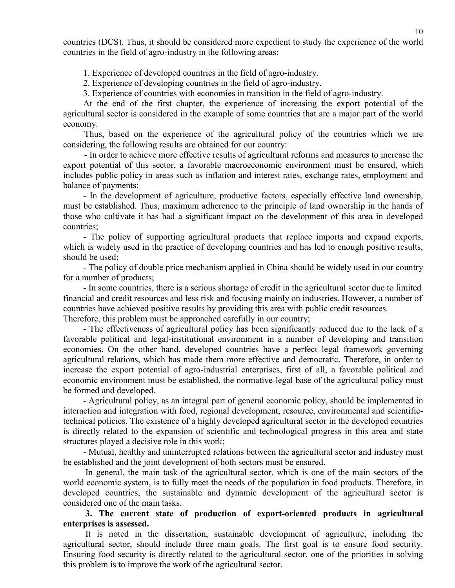countries (DCS). Thus, it should be considered more expedient to study the experience of the world countries in the field of agro-industry in the following areas:

1. Experience of developed countries in the field of agro-industry.

2. Experience of developing countries in the field of agro-industry.

3. Experience of countries with economies in transition in the field of agro-industry.

At the end of the first chapter, the experience of increasing the export potential of the agricultural sector is considered in the example of some countries that are a major part of the world economy.

Thus, based on the experience of the agricultural policy of the countries which we are considering, the following results are obtained for our country:

- In order to achieve more effective results of agricultural reforms and measures to increase the export potential of this sector, a favorable macroeconomic environment must be ensured, which includes public policy in areas such as inflation and interest rates, exchange rates, employment and balance of payments;

- In the development of agriculture, productive factors, especially effective land ownership, must be established. Thus, maximum adherence to the principle of land ownership in the hands of those who cultivate it has had a significant impact on the development of this area in developed countries;

- The policy of supporting agricultural products that replace imports and expand exports, which is widely used in the practice of developing countries and has led to enough positive results, should be used;

- The policy of double price mechanism applied in China should be widely used in our country for a number of products;

- In some countries, there is a serious shortage of credit in the agricultural sector due to limited financial and credit resources and less risk and focusing mainly on industries. However, a number of countries have achieved positive results by providing this area with public credit resources.

Therefore, this problem must be approached carefully in our country;

- The effectiveness of agricultural policy has been significantly reduced due to the lack of a favorable political and legal-institutional environment in a number of developing and transition economies. On the other hand, developed countries have a perfect legal framework governing agricultural relations, which has made them more effective and democratic. Therefore, in order to increase the export potential of agro-industrial enterprises, first of all, a favorable political and economic environment must be established, the normative-legal base of the agricultural policy must be formed and developed.

- Agricultural policy, as an integral part of general economic policy, should be implemented in interaction and integration with food, regional development, resource, environmental and scientifictechnical policies. The existence of a highly developed agricultural sector in the developed countries is directly related to the expansion of scientific and technological progress in this area and state structures played a decisive role in this work;

- Mutual, healthy and uninterrupted relations between the agricultural sector and industry must be established and the joint development of both sectors must be ensured.

In general, the main task of the agricultural sector, which is one of the main sectors of the world economic system, is to fully meet the needs of the population in food products. Therefore, in developed countries, the sustainable and dynamic development of the agricultural sector is considered one of the main tasks.

**3. The current state of production of export-oriented products in agricultural enterprises is assessed.**

It is noted in the dissertation, sustainable development of agriculture, including the agricultural sector, should include three main goals. The first goal is to ensure food security. Ensuring food security is directly related to the agricultural sector, one of the priorities in solving this problem is to improve the work of the agricultural sector.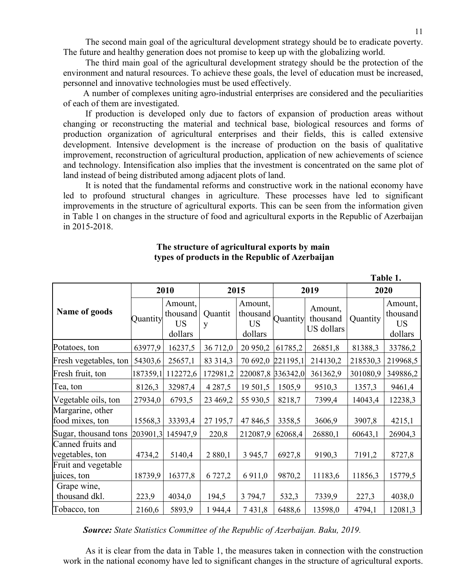The second main goal of the agricultural development strategy should be to eradicate poverty. The future and healthy generation does not promise to keep up with the globalizing world.

The third main goal of the agricultural development strategy should be the protection of the environment and natural resources. To achieve these goals, the level of education must be increased, personnel and innovative technologies must be used effectively.

A number of complexes uniting agro-industrial enterprises are considered and the peculiarities of each of them are investigated.

If production is developed only due to factors of expansion of production areas without changing or reconstructing the material and technical base, biological resources and forms of production organization of agricultural enterprises and their fields, this is called extensive development. Intensive development is the increase of production on the basis of qualitative improvement, reconstruction of agricultural production, application of new achievements of science and technology. Intensification also implies that the investment is concentrated on the same plot of land instead of being distributed among adjacent plots of land.

It is noted that the fundamental reforms and constructive work in the national economy have led to profound structural changes in agriculture. These processes have led to significant improvements in the structure of agricultural exports. This can be seen from the information given in Table 1 on changes in the structure of food and agricultural exports in the Republic of Azerbaijan in 2015-2018.

|                                      | 1 avie 1. |                                             |              |                                             |          |                                   |          |                                             |
|--------------------------------------|-----------|---------------------------------------------|--------------|---------------------------------------------|----------|-----------------------------------|----------|---------------------------------------------|
|                                      | 2010      |                                             | 2015         |                                             | 2019     |                                   | 2020     |                                             |
| Name of goods                        | Quantity  | Amount,<br>thousand<br><b>US</b><br>dollars | Quantit<br>y | Amount,<br>thousand<br><b>US</b><br>dollars | Quantity | Amount,<br>thousand<br>US dollars | Quantity | Amount,<br>thousand<br><b>US</b><br>dollars |
| Potatoes, ton                        | 63977,9   | 16237,5                                     | 36 712,0     | 20 950,2                                    | 61785,2  | 26851,8                           | 81388,3  | 33786,2                                     |
| Fresh vegetables, ton                | 54303,6   | 25657,1                                     | 83 314,3     | 70 692,0                                    | 221195,1 | 214130,2                          | 218530,3 | 219968,5                                    |
| Fresh fruit, ton                     | 187359,1  | 112272,6                                    | 172981,2     | 220087,8                                    | 336342,0 | 361362,9                          | 301080,9 | 349886,2                                    |
| Tea, ton                             | 8126,3    | 32987,4                                     | 4 2 8 7 , 5  | 19 501,5                                    | 1505,9   | 9510,3                            | 1357,3   | 9461,4                                      |
| Vegetable oils, ton                  | 27934,0   | 6793,5                                      | 23 469,2     | 55 930,5                                    | 8218,7   | 7399,4                            | 14043,4  | 12238,3                                     |
| Margarine, other<br>food mixes, ton  | 15568,3   | 33393,4                                     | 27 195,7     | 47 846,5                                    | 3358,5   | 3606,9                            | 3907,8   | 4215,1                                      |
| Sugar, thousand tons                 |           | 203901,3 145947,9                           | 220,8        | 212087,9                                    | 62068,4  | 26880,1                           | 60643,1  | 26904,3                                     |
| Canned fruits and<br>vegetables, ton | 4734,2    | 5140,4                                      | 2 880,1      | 3 9 4 5 , 7                                 | 6927,8   | 9190,3                            | 7191,2   | 8727,8                                      |
| Fruit and vegetable<br>juices, ton   | 18739,9   | 16377,8                                     | 6 727,2      | 6 9 1 1,0                                   | 9870,2   | 11183,6                           | 11856,3  | 15779,5                                     |
| Grape wine,<br>thousand dkl.         | 223,9     | 4034,0                                      | 194,5        | 3 794,7                                     | 532,3    | 7339,9                            | 227,3    | 4038,0                                      |
| Tobacco, ton                         | 2160,6    | 5893,9                                      | 1944,4       | 7431,8                                      | 6488,6   | 13598,0                           | 4794,1   | 12081,3                                     |

### **The structure of agricultural exports by main types of products in the Republic of Azerbaijan**

*Source: State Statistics Committee of the Republic of Azerbaijan. Baku, 2019.*

As it is clear from the data in Table 1, the measures taken in connection with the construction work in the national economy have led to significant changes in the structure of agricultural exports.

**Table 1.**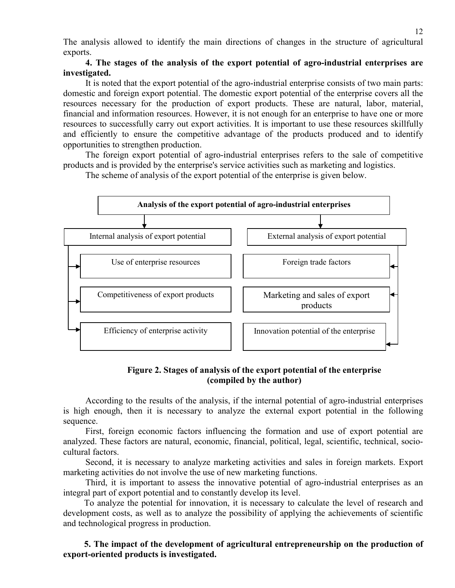The analysis allowed to identify the main directions of changes in the structure of agricultural exports.

### **4. The stages of the analysis of the export potential of agro-industrial enterprises are investigated.**

It is noted that the export potential of the agro-industrial enterprise consists of two main parts: domestic and foreign export potential. The domestic export potential of the enterprise covers all the resources necessary for the production of export products. These are natural, labor, material, financial and information resources. However, it is not enough for an enterprise to have one or more resources to successfully carry out export activities. It is important to use these resources skillfully and efficiently to ensure the competitive advantage of the products produced and to identify opportunities to strengthen production.

The foreign export potential of agro-industrial enterprises refers to the sale of competitive products and is provided by the enterprise's service activities such as marketing and logistics.



The scheme of analysis of the export potential of the enterprise is given below.

# **Figure 2. Stages of analysis of the export potential of the enterprise (compiled by the author)**

According to the results of the analysis, if the internal potential of agro-industrial enterprises is high enough, then it is necessary to analyze the external export potential in the following sequence.

First, foreign economic factors influencing the formation and use of export potential are analyzed. These factors are natural, economic, financial, political, legal, scientific, technical, sociocultural factors.

Second, it is necessary to analyze marketing activities and sales in foreign markets. Export marketing activities do not involve the use of new marketing functions.

Third, it is important to assess the innovative potential of agro-industrial enterprises as an integral part of export potential and to constantly develop its level.

To analyze the potential for innovation, it is necessary to calculate the level of research and development costs, as well as to analyze the possibility of applying the achievements of scientific and technological progress in production.

**5. The impact of the development of agricultural entrepreneurship on the production of export-oriented products is investigated.**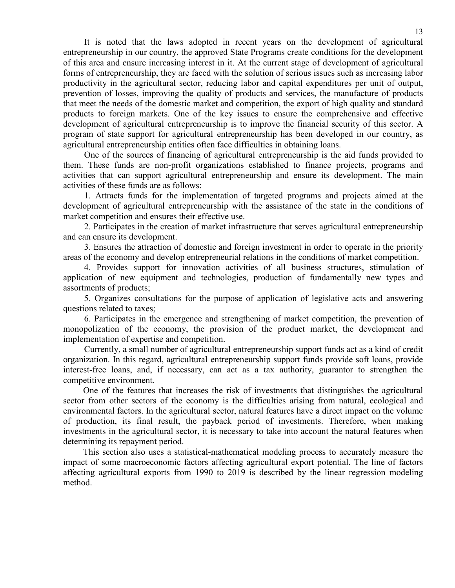It is noted that the laws adopted in recent years on the development of agricultural entrepreneurship in our country, the approved State Programs create conditions for the development of this area and ensure increasing interest in it. At the current stage of development of agricultural forms of entrepreneurship, they are faced with the solution of serious issues such as increasing labor productivity in the agricultural sector, reducing labor and capital expenditures per unit of output, prevention of losses, improving the quality of products and services, the manufacture of products that meet the needs of the domestic market and competition, the export of high quality and standard products to foreign markets. One of the key issues to ensure the comprehensive and effective development of agricultural entrepreneurship is to improve the financial security of this sector. A program of state support for agricultural entrepreneurship has been developed in our country, as agricultural entrepreneurship entities often face difficulties in obtaining loans.

One of the sources of financing of agricultural entrepreneurship is the aid funds provided to them. These funds are non-profit organizations established to finance projects, programs and activities that can support agricultural entrepreneurship and ensure its development. The main activities of these funds are as follows:

1. Attracts funds for the implementation of targeted programs and projects aimed at the development of agricultural entrepreneurship with the assistance of the state in the conditions of market competition and ensures their effective use.

2. Participates in the creation of market infrastructure that serves agricultural entrepreneurship and can ensure its development.

3. Ensures the attraction of domestic and foreign investment in order to operate in the priority areas of the economy and develop entrepreneurial relations in the conditions of market competition.

4. Provides support for innovation activities of all business structures, stimulation of application of new equipment and technologies, production of fundamentally new types and assortments of products;

5. Organizes consultations for the purpose of application of legislative acts and answering questions related to taxes;

6. Participates in the emergence and strengthening of market competition, the prevention of monopolization of the economy, the provision of the product market, the development and implementation of expertise and competition.

Currently, a small number of agricultural entrepreneurship support funds act as a kind of credit organization. In this regard, agricultural entrepreneurship support funds provide soft loans, provide interest-free loans, and, if necessary, can act as a tax authority, guarantor to strengthen the competitive environment.

One of the features that increases the risk of investments that distinguishes the agricultural sector from other sectors of the economy is the difficulties arising from natural, ecological and environmental factors. In the agricultural sector, natural features have a direct impact on the volume of production, its final result, the payback period of investments. Therefore, when making investments in the agricultural sector, it is necessary to take into account the natural features when determining its repayment period.

This section also uses a statistical-mathematical modeling process to accurately measure the impact of some macroeconomic factors affecting agricultural export potential. The line of factors affecting agricultural exports from 1990 to 2019 is described by the linear regression modeling method.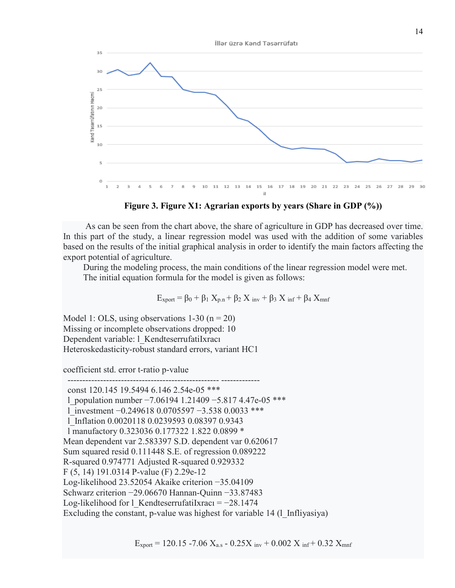



 As can be seen from the chart above, the share of agriculture in GDP has decreased over time. In this part of the study, a linear regression model was used with the addition of some variables based on the results of the initial graphical analysis in order to identify the main factors affecting the export potential of agriculture.

 During the modeling process, the main conditions of the linear regression model were met. The initial equation formula for the model is given as follows:

$$
E_{\text{xport}} = \beta_0 + \beta_1 X_{p.n} + \beta_2 X_{inv} + \beta_3 X_{inf} + \beta_4 X_{mnf}
$$

Model 1: OLS, using observations  $1-30$  (n = 20) Missing or incomplete observations dropped: 10 Dependent variable: l\_KendteserrufatiIxracı Heteroskedasticity-robust standard errors, variant HC1

coefficient std. error t-ratio p-value

 --------------------------------------------------- ------------ const 120.145 19.5494 6.146 2.54e-05 \*\*\* l\_population number −7.06194 1.21409 −5.817 4.47e-05 \*\*\* l\_investment −0.249618 0.0705597 −3.538 0.0033 \*\*\* l\_Inflation 0.0020118 0.0239593 0.08397 0.9343 l manufactory 0.323036 0.177322 1.822 0.0899 \* Mean dependent var 2.583397 S.D. dependent var 0.620617 Sum squared resid 0.111448 S.E. of regression 0.089222 R-squared 0.974771 Adjusted R-squared 0.929332 F (5, 14) 191.0314 P-value (F) 2.29e-12 Log-likelihood 23.52054 Akaike criterion −35.04109 Schwarz criterion −29.06670 Hannan-Quinn −33.87483 Log-likelihood for l\_KendteserrufatiIxracı =  $-28.1474$ Excluding the constant, p-value was highest for variable 14 (1 Infliyasiya)

 $E_{\text{xport}} = 120.15 - 7.06$   $X_{\text{a.s}} - 0.25X_{\text{inv}} + 0.002$   $X_{\text{inf}} + 0.32$   $X_{\text{mnf}}$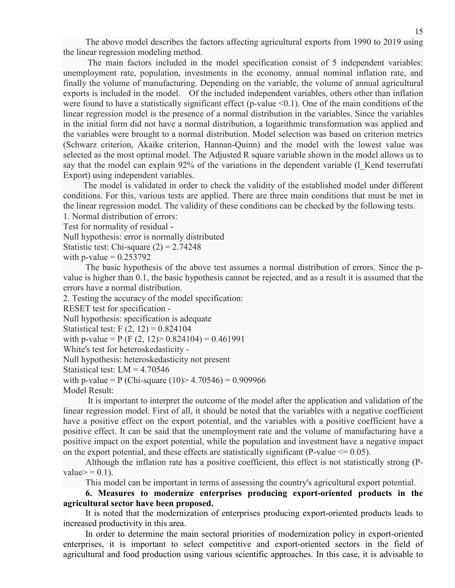The above model describes the factors affecting agricultural exports from 1990 to 2019 using the linear regression modeling method.

 The main factors included in the model specification consist of 5 independent variables: unemployment rate, population, investments in the economy, annual nominal inflation rate, and finally the volume of manufacturing. Depending on the variable, the volume of annual agricultural exports is included in the model. Of the included independent variables, others other than inflation were found to have a statistically significant effect (p-value  $\leq 0.1$ ). One of the main conditions of the linear regression model is the presence of a normal distribution in the variables. Since the variables in the initial form did not have a normal distribution, a logarithmic transformation was applied and the variables were brought to a normal distribution. Model selection was based on criterion metrics (Schwarz criterion, Akaike criterion, Hannan-Quinn) and the model with the lowest value was selected as the most optimal model. The Adjusted R square variable shown in the model allows us to say that the model can explain 92% of the variations in the dependent variable (1 Kend teserrufati Export) using independent variables.

 The model is validated in order to check the validity of the established model under different conditions. For this, various tests are applied. There are three main conditions that must be met in the linear regression model. The validity of these conditions can be checked by the following tests.

1. Normal distribution of errors:

Test for normality of residual -

Null hypothesis: error is normally distributed

Statistic test: Chi-square  $(2) = 2.74248$ 

with p-value  $= 0.253792$ 

 The basic hypothesis of the above test assumes a normal distribution of errors. Since the pvalue is higher than 0.1, the basic hypothesis cannot be rejected, and as a result it is assumed that the errors have a normal distribution.

2. Testing the accuracy of the model specification:

RESET test for specification -

Null hypothesis: specification is adequate

```
Statistical test: F (2, 12) = 0.824104
```

```
with p-value = P (F (2, 12) > 0.824104) = 0.461991
```

```
White's test for heteroskedasticity -
```
Null hypothesis: heteroskedasticity not present

Statistical test:  $LM = 4.70546$ 

with p-value = P (Chi-square  $(10)$  > 4.70546) = 0.909966

Model Result:

 It is important to interpret the outcome of the model after the application and validation of the linear regression model. First of all, it should be noted that the variables with a negative coefficient have a positive effect on the export potential, and the variables with a positive coefficient have a positive effect. It can be said that the unemployment rate and the volume of manufacturing have a positive impact on the export potential, while the population and investment have a negative impact on the export potential, and these effects are statistically significant (P-value  $\leq$  0.05).

 Although the inflation rate has a positive coefficient, this effect is not statistically strong (Pvalue $> = 0.1$ ).

This model can be important in terms of assessing the country's agricultural export potential.

**6. Measures to modernize enterprises producing export-oriented products in the agricultural sector have been proposed.**

It is noted that the modernization of enterprises producing export-oriented products leads to increased productivity in this area.

In order to determine the main sectoral priorities of modernization policy in export-oriented enterprises, it is important to select competitive and export-oriented sectors in the field of agricultural and food production using various scientific approaches. In this case, it is advisable to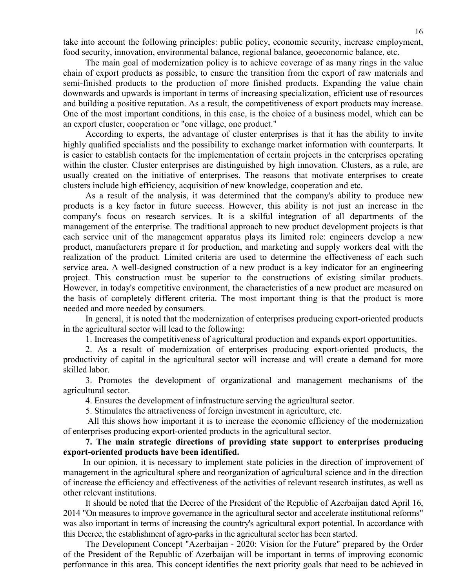take into account the following principles: public policy, economic security, increase employment, food security, innovation, environmental balance, regional balance, geoeconomic balance, etc.

The main goal of modernization policy is to achieve coverage of as many rings in the value chain of export products as possible, to ensure the transition from the export of raw materials and semi-finished products to the production of more finished products. Expanding the value chain downwards and upwards is important in terms of increasing specialization, efficient use of resources and building a positive reputation. As a result, the competitiveness of export products may increase. One of the most important conditions, in this case, is the choice of a business model, which can be an export cluster, cooperation or "one village, one product."

According to experts, the advantage of cluster enterprises is that it has the ability to invite highly qualified specialists and the possibility to exchange market information with counterparts. It is easier to establish contacts for the implementation of certain projects in the enterprises operating within the cluster. Cluster enterprises are distinguished by high innovation. Clusters, as a rule, are usually created on the initiative of enterprises. The reasons that motivate enterprises to create clusters include high efficiency, acquisition of new knowledge, cooperation and etc.

As a result of the analysis, it was determined that the company's ability to produce new products is a key factor in future success. However, this ability is not just an increase in the company's focus on research services. It is a skilful integration of all departments of the management of the enterprise. The traditional approach to new product development projects is that each service unit of the management apparatus plays its limited role: engineers develop a new product, manufacturers prepare it for production, and marketing and supply workers deal with the realization of the product. Limited criteria are used to determine the effectiveness of each such service area. A well-designed construction of a new product is a key indicator for an engineering project. This construction must be superior to the constructions of existing similar products. However, in today's competitive environment, the characteristics of a new product are measured on the basis of completely different criteria. The most important thing is that the product is more needed and more needed by consumers.

In general, it is noted that the modernization of enterprises producing export-oriented products in the agricultural sector will lead to the following:

1. Increases the competitiveness of agricultural production and expands export opportunities.

2. As a result of modernization of enterprises producing export-oriented products, the productivity of capital in the agricultural sector will increase and will create a demand for more skilled labor.

3. Promotes the development of organizational and management mechanisms of the agricultural sector.

4. Ensures the development of infrastructure serving the agricultural sector.

5. Stimulates the attractiveness of foreign investment in agriculture, etc.

All this shows how important it is to increase the economic efficiency of the modernization of enterprises producing export-oriented products in the agricultural sector.

**7. The main strategic directions of providing state support to enterprises producing export-oriented products have been identified.**

In our opinion, it is necessary to implement state policies in the direction of improvement of management in the agricultural sphere and reorganization of agricultural science and in the direction of increase the efficiency and effectiveness of the activities of relevant research institutes, as well as other relevant institutions.

It should be noted that the Decree of the President of the Republic of Azerbaijan dated April 16, 2014 "On measures to improve governance in the agricultural sector and accelerate institutional reforms" was also important in terms of increasing the country's agricultural export potential. In accordance with this Decree, the establishment of agro-parks in the agricultural sector has been started.

The Development Concept "Azerbaijan - 2020: Vision for the Future" prepared by the Order of the President of the Republic of Azerbaijan will be important in terms of improving economic performance in this area. This concept identifies the next priority goals that need to be achieved in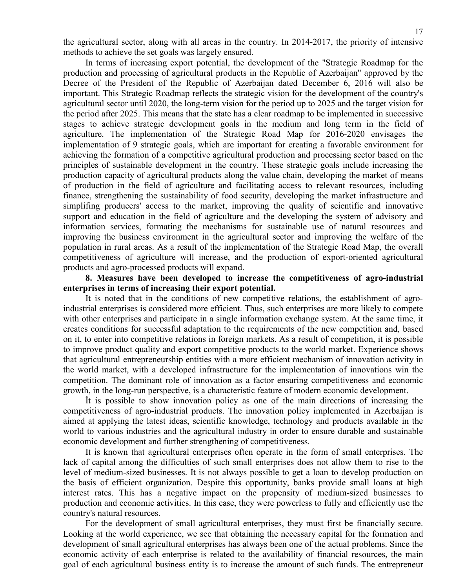the agricultural sector, along with all areas in the country. In 2014-2017, the priority of intensive methods to achieve the set goals was largely ensured.

In terms of increasing export potential, the development of the "Strategic Roadmap for the production and processing of agricultural products in the Republic of Azerbaijan" approved by the Decree of the President of the Republic of Azerbaijan dated December 6, 2016 will also be important. This Strategic Roadmap reflects the strategic vision for the development of the country's agricultural sector until 2020, the long-term vision for the period up to 2025 and the target vision for the period after 2025. This means that the state has a clear roadmap to be implemented in successive stages to achieve strategic development goals in the medium and long term in the field of agriculture. The implementation of the Strategic Road Map for 2016-2020 envisages the implementation of 9 strategic goals, which are important for creating a favorable environment for achieving the formation of a competitive agricultural production and processing sector based on the principles of sustainable development in the country. These strategic goals include increasing the production capacity of agricultural products along the value chain, developing the market of means of production in the field of agriculture and facilitating access to relevant resources, including finance, strengthening the sustainability of food security, developing the market infrastructure and simplifing producers' access to the market, improving the quality of scientific and innovative support and education in the field of agriculture and the developing the system of advisory and information services, formating the mechanisms for sustainable use of natural resources and improving the business environment in the agricultural sector and improving the welfare of the population in rural areas. As a result of the implementation of the Strategic Road Map, the overall competitiveness of agriculture will increase, and the production of export-oriented agricultural products and agro-processed products will expand.

### **8. Measures have been developed to increase the competitiveness of agro-industrial enterprises in terms of increasing their export potential.**

It is noted that in the conditions of new competitive relations, the establishment of agroindustrial enterprises is considered more efficient. Thus, such enterprises are more likely to compete with other enterprises and participate in a single information exchange system. At the same time, it creates conditions for successful adaptation to the requirements of the new competition and, based on it, to enter into competitive relations in foreign markets. As a result of competition, it is possible to improve product quality and export competitive products to the world market. Experience shows that agricultural entrepreneurship entities with a more efficient mechanism of innovation activity in the world market, with a developed infrastructure for the implementation of innovations win the competition. The dominant role of innovation as a factor ensuring competitiveness and economic growth, in the long-run perspective, is a characteristic feature of modern economic development.

İt is possible to show innovation policy as one of the main directions of increasing the competitiveness of agro-industrial products. The innovation policy implemented in Azerbaijan is aimed at applying the latest ideas, scientific knowledge, technology and products available in the world to various industries and the agricultural industry in order to ensure durable and sustainable economic development and further strengthening of competitiveness.

It is known that agricultural enterprises often operate in the form of small enterprises. The lack of capital among the difficulties of such small enterprises does not allow them to rise to the level of medium-sized businesses. It is not always possible to get a loan to develop production on the basis of efficient organization. Despite this opportunity, banks provide small loans at high interest rates. This has a negative impact on the propensity of medium-sized businesses to production and economic activities. In this case, they were powerless to fully and efficiently use the country's natural resources.

For the development of small agricultural enterprises, they must first be financially secure. Looking at the world experience, we see that obtaining the necessary capital for the formation and development of small agricultural enterprises has always been one of the actual problems. Since the economic activity of each enterprise is related to the availability of financial resources, the main goal of each agricultural business entity is to increase the amount of such funds. The entrepreneur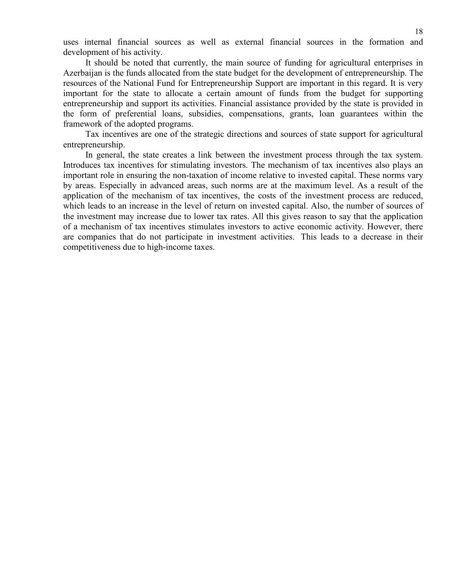uses internal financial sources as well as external financial sources in the formation and development of his activity.

It should be noted that currently, the main source of funding for agricultural enterprises in Azerbaijan is the funds allocated from the state budget for the development of entrepreneurship. The resources of the National Fund for Entrepreneurship Support are important in this regard. It is very important for the state to allocate a certain amount of funds from the budget for supporting entrepreneurship and support its activities. Financial assistance provided by the state is provided in the form of preferential loans, subsidies, compensations, grants, loan guarantees within the framework of the adopted programs.

Tax incentives are one of the strategic directions and sources of state support for agricultural entrepreneurship.

In general, the state creates a link between the investment process through the tax system. Introduces tax incentives for stimulating investors. The mechanism of tax incentives also plays an important role in ensuring the non-taxation of income relative to invested capital. These norms vary by areas. Especially in advanced areas, such norms are at the maximum level. As a result of the application of the mechanism of tax incentives, the costs of the investment process are reduced, which leads to an increase in the level of return on invested capital. Also, the number of sources of the investment may increase due to lower tax rates. All this gives reason to say that the application of a mechanism of tax incentives stimulates investors to active economic activity. However, there are companies that do not participate in investment activities. This leads to a decrease in their competitiveness due to high-income taxes.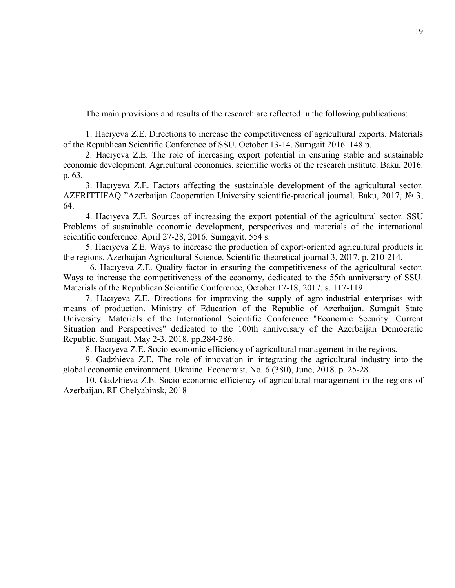The main provisions and results of the research are reflected in the following publications:

1. Hacıyeva Z.E. Directions to increase the competitiveness of agricultural exports. Materials of the Republican Scientific Conference of SSU. October 13-14. Sumgait 2016. 148 p.

2. Hacıyeva Z.E. The role of increasing export potential in ensuring stable and sustainable economic development. Agricultural economics, scientific works of the research institute. Baku, 2016. p. 63.

3. Hacıyeva Z.E. Factors affecting the sustainable development of the agricultural sector. AZERITTIFAQ "Azerbaijan Cooperation University scientific-practical journal. Baku, 2017, № 3, 64.

4. Hacıyeva Z.E. Sources of increasing the export potential of the agricultural sector. SSU Problems of sustainable economic development, perspectives and materials of the international scientific conference. April 27-28, 2016. Sumgayit. 554 s.

5. Hacıyeva Z.E. Ways to increase the production of export-oriented agricultural products in the regions. Azerbaijan Agricultural Science. Scientific-theoretical journal 3, 2017. p. 210-214.

6. Hacıyeva Z.E. Quality factor in ensuring the competitiveness of the agricultural sector. Ways to increase the competitiveness of the economy, dedicated to the 55th anniversary of SSU. Materials of the Republican Scientific Conference, October 17-18, 2017. s. 117-119

7. Hacıyeva Z.E. Directions for improving the supply of agro-industrial enterprises with means of production. Ministry of Education of the Republic of Azerbaijan. Sumgait State University. Materials of the International Scientific Conference "Economic Security: Current Situation and Perspectives" dedicated to the 100th anniversary of the Azerbaijan Democratic Republic. Sumgait. May 2-3, 2018. pp.284-286.

8. Hacıyeva Z.E. Socio-economic efficiency of agricultural management in the regions.

9. Gadzhieva Z.E. The role of innovation in integrating the agricultural industry into the global economic environment. Ukraine. Economist. No. 6 (380), June, 2018. p. 25-28.

10. Gadzhieva Z.E. Socio-economic efficiency of agricultural management in the regions of Azerbaijan. RF Chelyabinsk, 2018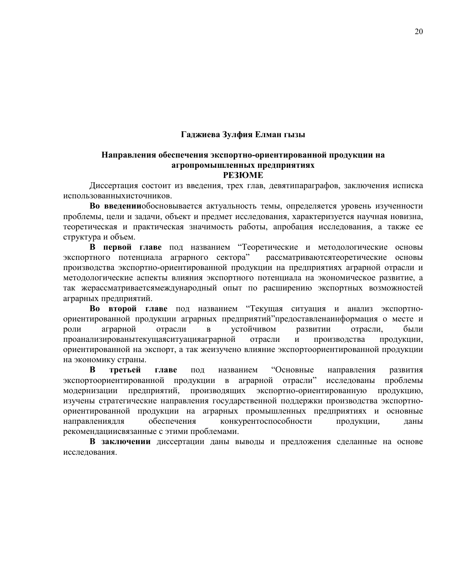### **Гаджиева Зулфия Елман гызы**

# **Направления обеспечения экспортно-ориентированной продукции на агропромышленных предприятиях**

### **РЕЗЮМЕ**

Диссертация состоит из введения, трех глав, девятипараграфов, заключения исписка использованныхисточников.

**Во введении**обосновывается актуальность темы, определяется уровень изученности проблемы, цели и задачи, объект и предмет исследования, характеризуется научная новизна, теоретическая и практическая значимость работы, апробация исследования, а также ее структура и объем.

**В первой главе** под названием "Теоретические и методологические основы экспортного потенциала аграрного сектора" рассматриваютсятеоретические основы производства экспортно-ориентированной продукции на предприятиях аграрной отрасли и методологические аспекты влияния экспортного потенциала на экономическое развитие, а так жерассматриваетсямеждународный опыт по расширению экспортных возможностей аграрных предприятий.

**Во второй главе** под названием "Текущая ситуация и анализ экспортноориентированной продукции аграрных предприятий"предоставленаинформация о месте и роли аграрной отрасли в устойчивом развитии отрасли, были проанализированытекущаяситуацияаграрной отрасли и производства продукции, ориентированной на экспорт, а так жеизучено влияние экспортоориентированной продукции на экономику страны.

**В третьей главе** под названием "Основные направления развития экспортоориентированной продукции в аграрной отрасли" исследованы проблемы модернизации предприятий, производящих экспортно-ориентированную продукцию, изучены стратегические направления государственной поддержки производства экспортноориентированной продукции на аграрных промышленных предприятиях и основные направлениядля обеспечения конкурентоспособности продукции, даны рекомендациисвязанные с этими проблемами.

**В заключении** диссертации даны выводы и предложения сделанные на основе исследования.